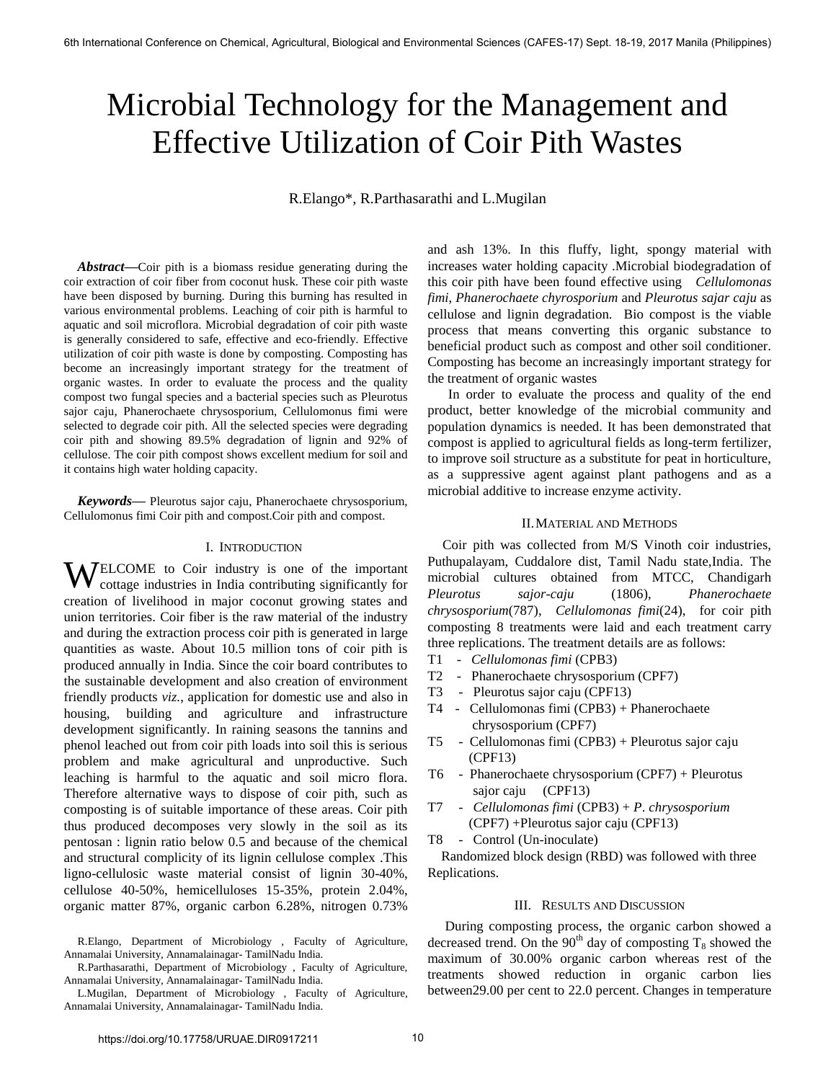# Microbial Technology for the Management and Effective Utilization of Coir Pith Wastes

R.Elango\*, R.Parthasarathi and L.Mugilan

*Abstract***—**Coir pith is a biomass residue generating during the coir extraction of coir fiber from coconut husk. These coir pith waste have been disposed by burning. During this burning has resulted in various environmental problems. Leaching of coir pith is harmful to aquatic and soil microflora. Microbial degradation of coir pith waste is generally considered to safe, effective and eco-friendly. Effective utilization of coir pith waste is done by composting. Composting has become an increasingly important strategy for the treatment of organic wastes. In order to evaluate the process and the quality compost two fungal species and a bacterial species such as Pleurotus sajor caju, Phanerochaete chrysosporium, Cellulomonus fimi were selected to degrade coir pith. All the selected species were degrading coir pith and showing 89.5% degradation of lignin and 92% of cellulose. The coir pith compost shows excellent medium for soil and it contains high water holding capacity.

*Keywords***—** Pleurotus sajor caju, Phanerochaete chrysosporium, Cellulomonus fimi Coir pith and compost.Coir pith and compost.

### I. INTRODUCTION

**WELCOME** to Coir industry is one of the important contributing significantly for cottage industries in India contributing significantly for creation of livelihood in major coconut growing states and union territories. Coir fiber is the raw material of the industry and during the extraction process coir pith is generated in large quantities as waste. About 10.5 million tons of coir pith is produced annually in India. Since the coir board contributes to the sustainable development and also creation of environment friendly products *viz.*, application for domestic use and also in housing, building and agriculture and infrastructure development significantly. In raining seasons the tannins and phenol leached out from coir pith loads into soil this is serious problem and make agricultural and unproductive. Such leaching is harmful to the aquatic and soil micro flora. Therefore alternative ways to dispose of coir pith, such as composting is of suitable importance of these areas. Coir pith thus produced decomposes very slowly in the soil as its pentosan : lignin ratio below 0.5 and because of the chemical and structural complicity of its lignin cellulose complex .This ligno-cellulosic waste material consist of lignin 30-40%, cellulose 40-50%, hemicelluloses 15-35%, protein 2.04%, organic matter 87%, organic carbon 6.28%, nitrogen 0.73%

and ash 13%. In this fluffy, light, spongy material with increases water holding capacity .Microbial biodegradation of this coir pith have been found effective using *Cellulomonas fimi*, *Phanerochaete chyrosporium* and *Pleurotus sajar caju* as cellulose and lignin degradation. Bio compost is the viable process that means converting this organic substance to beneficial product such as compost and other soil conditioner. Composting has become an increasingly important strategy for the treatment of organic wastes

 In order to evaluate the process and quality of the end product, better knowledge of the microbial community and population dynamics is needed. It has been demonstrated that compost is applied to agricultural fields as long-term fertilizer, to improve soil structure as a substitute for peat in horticulture, as a suppressive agent against plant pathogens and as a microbial additive to increase enzyme activity.

## II.MATERIAL AND METHODS

 Coir pith was collected from M/S Vinoth coir industries, Puthupalayam, Cuddalore dist, Tamil Nadu state,India. The microbial cultures obtained from MTCC, Chandigarh *Pleurotus sajor-caju* (1806), *Phanerochaete chrysosporium*(787), *Cellulomonas fimi*(24), for coir pith composting 8 treatments were laid and each treatment carry three replications. The treatment details are as follows:

- T1 *Cellulomonas fimi* (CPB3)
- T2 Phanerochaete chrysosporium (CPF7)
- T3 Pleurotus sajor caju (CPF13)
- T4 Cellulomonas fimi (CPB3) + Phanerochaete chrysosporium (CPF7)
- T5 Cellulomonas fimi (CPB3) + Pleurotus sajor caju (CPF13)
- T6 Phanerochaete chrysosporium (CPF7) + Pleurotus sajor caju (CPF13)
- T7 *Cellulomonas fimi* (CPB3) + *P*. *chrysosporium* (CPF7) +Pleurotus sajor caju (CPF13)
- T8 Control (Un-inoculate)

 Randomized block design (RBD) was followed with three Replications.

### III. RESULTS AND DISCUSSION

During composting process, the organic carbon showed a decreased trend. On the 90<sup>th</sup> day of composting  $T_8$  showed the maximum of 30.00% organic carbon whereas rest of the treatments showed reduction in organic carbon lies between29.00 per cent to 22.0 percent. Changes in temperature

R.Elango, Department of Microbiology , Faculty of Agriculture, Annamalai University, Annamalainagar- TamilNadu India.

R.Parthasarathi, Department of Microbiology , Faculty of Agriculture, Annamalai University, Annamalainagar- TamilNadu India.

L.Mugilan, Department of Microbiology , Faculty of Agriculture, Annamalai University, Annamalainagar- TamilNadu India.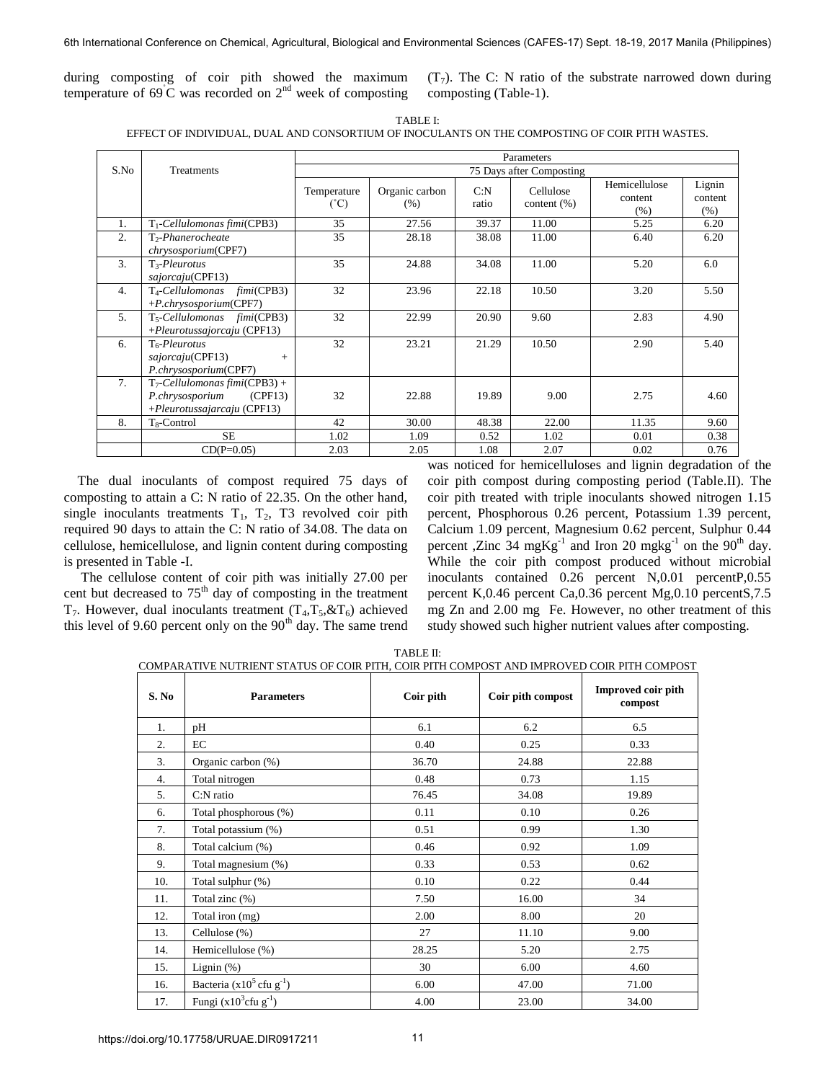during composting of coir pith showed the maximum temperature of  $69^{\circ}$ C was recorded on  $2^{nd}$  week of composting

 $(T<sub>7</sub>)$ . The C: N ratio of the substrate narrowed down during composting (Table-1).

| \RI. |  |
|------|--|
|------|--|

EFFECT OF INDIVIDUAL, DUAL AND CONSORTIUM OF INOCULANTS ON THE COMPOSTING OF COIR PITH WASTES.

|      |                                                                                               |                              |                        |               | Parameters                   |                                  |                              |
|------|-----------------------------------------------------------------------------------------------|------------------------------|------------------------|---------------|------------------------------|----------------------------------|------------------------------|
| S.No | <b>Treatments</b>                                                                             |                              |                        |               | 75 Days after Composting     |                                  |                              |
|      |                                                                                               | Temperature<br>$(^{\circ}C)$ | Organic carbon<br>(% ) | C: N<br>ratio | Cellulose<br>content $(\% )$ | Hemicellulose<br>content<br>(% ) | Lignin<br>content<br>$(\% )$ |
| 1.   | T <sub>1</sub> -Cellulomonas fimi(CPB3)                                                       | 35                           | 27.56                  | 39.37         | 11.00                        | 5.25                             | 6.20                         |
| 2.   | T <sub>2</sub> -Phanerocheate<br><i>chrysosporium</i> (CPF7)                                  | 35                           | 28.18                  | 38.08         | 11.00                        | 6.40                             | 6.20                         |
| 3.   | $T_3$ -Pleurotus<br>sajorcaju(CPF13)                                                          | 35                           | 24.88                  | 34.08         | 11.00                        | 5.20                             | 6.0                          |
| 4.   | <i>fimi</i> (CPB3)<br>T <sub>4</sub> -Cellulomonas<br>$+P. chrysosporium(CPF7)$               | 32                           | 23.96                  | 22.18         | 10.50                        | 3.20                             | 5.50                         |
| 5.   | T <sub>5</sub> -Cellulomonas fimi(CPB3)<br>$+P$ leurotussajorcaju (CPF13)                     | 32                           | 22.99                  | 20.90         | 9.60                         | 2.83                             | 4.90                         |
| 6.   | T <sub>6</sub> -Pleurotus<br>sajorcaju(CPF13)<br>$+$<br>P.chrysosporium(CPF7)                 | 32                           | 23.21                  | 21.29         | 10.50                        | 2.90                             | 5.40                         |
| 7.   | $T_7$ -Cellulomonas fimi(CPB3) +<br>P.chrysosporium<br>(CPF13)<br>+Pleurotussajarcaju (CPF13) | 32                           | 22.88                  | 19.89         | 9.00                         | 2.75                             | 4.60                         |
| 8.   | $T_8$ -Control                                                                                | 42                           | 30.00                  | 48.38         | 22.00                        | 11.35                            | 9.60                         |
|      | <b>SE</b>                                                                                     | 1.02                         | 1.09                   | 0.52          | 1.02                         | 0.01                             | 0.38                         |
|      | $CD(P=0.05)$                                                                                  | 2.03                         | 2.05                   | 1.08          | 2.07                         | 0.02                             | 0.76                         |

The dual inoculants of compost required 75 days of composting to attain a C: N ratio of 22.35. On the other hand, single inoculants treatments  $T_1$ ,  $T_2$ ,  $T_3$  revolved coir pith required 90 days to attain the C: N ratio of 34.08. The data on cellulose, hemicellulose, and lignin content during composting is presented in Table -I.

 The cellulose content of coir pith was initially 27.00 per cent but decreased to  $75<sup>th</sup>$  day of composting in the treatment  $T_7$ . However, dual inoculants treatment  $(T_4, T_5, & T_6)$  achieved this level of 9.60 percent only on the  $90<sup>th</sup>$  day. The same trend was noticed for hemicelluloses and lignin degradation of the coir pith compost during composting period (Table.II). The coir pith treated with triple inoculants showed nitrogen 1.15 percent, Phosphorous 0.26 percent, Potassium 1.39 percent, Calcium 1.09 percent, Magnesium 0.62 percent, Sulphur 0.44 percent ,Zinc 34 mg $Kg^{-1}$  and Iron 20 mg $kg^{-1}$  on the 90<sup>th</sup> day. While the coir pith compost produced without microbial inoculants contained 0.26 percent N,0.01 percentP,0.55 percent K,0.46 percent Ca,0.36 percent Mg,0.10 percentS,7.5 mg Zn and 2.00 mg Fe. However, no other treatment of this study showed such higher nutrient values after composting.

TABLE II:

| COMPARATIVE NUTRIENT STATUS OF COIR PITH. COIR PITH COMPOST AND IMPROVED COIR PITH COMPOST |
|--------------------------------------------------------------------------------------------|
|--------------------------------------------------------------------------------------------|

| S. No            | <b>Parameters</b>                        | Coir pith | Coir pith compost | Improved coir pith<br>compost |
|------------------|------------------------------------------|-----------|-------------------|-------------------------------|
| 1.               | pH                                       | 6.1       | 6.2               | 6.5                           |
| $\overline{2}$ . | EC                                       | 0.40      | 0.25              | 0.33                          |
| 3.               | Organic carbon (%)                       | 36.70     | 24.88             | 22.88                         |
| 4.               | Total nitrogen                           | 0.48      | 0.73              | 1.15                          |
| 5.               | C:N ratio                                | 76.45     | 34.08             | 19.89                         |
| 6.               | Total phosphorous (%)                    | 0.11      | 0.10              | 0.26                          |
| 7.               | Total potassium (%)                      | 0.51      | 0.99              | 1.30                          |
| 8.               | Total calcium (%)                        | 0.46      | 0.92              | 1.09                          |
| 9.               | Total magnesium (%)                      | 0.33      | 0.53              | 0.62                          |
| 10.              | Total sulphur (%)                        | 0.10      | 0.22              | 0.44                          |
| 11.              | Total zinc $(\%)$                        | 7.50      | 16.00             | 34                            |
| 12.              | Total iron (mg)                          | 2.00      | 8.00              | 20                            |
| 13.              | Cellulose (%)                            | 27        | 11.10             | 9.00                          |
| 14.              | Hemicellulose (%)                        | 28.25     | 5.20              | 2.75                          |
| 15.              | Lignin $(\%)$                            | 30        | 6.00              | 4.60                          |
| 16.              | Bacteria ( $x10^5$ cfu g <sup>-1</sup> ) | 6.00      | 47.00             | 71.00                         |
| 17.              | Fungi $(x10^3$ cfu g <sup>-1</sup> )     | 4.00      | 23.00             | 34.00                         |